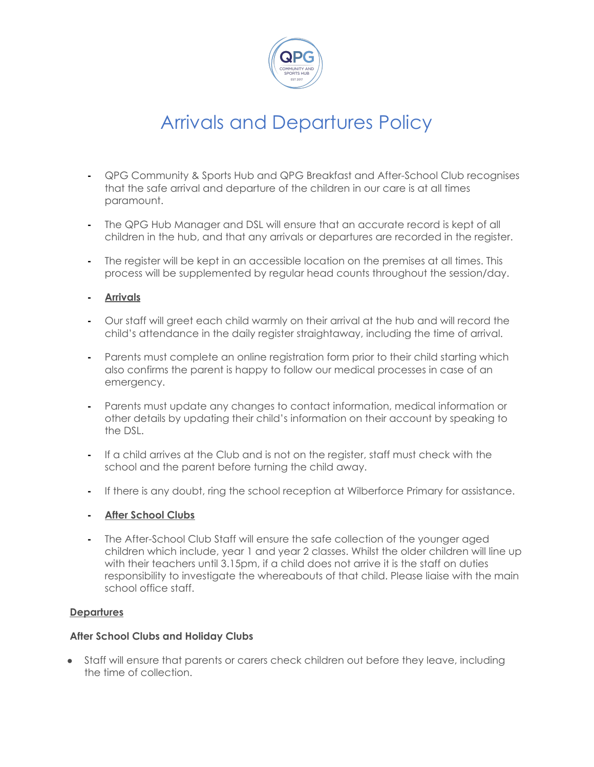

## Arrivals and Departures Policy

- **-** QPG Community & Sports Hub and QPG Breakfast and After-School Club recognises that the safe arrival and departure of the children in our care is at all times paramount.
- **-** The QPG Hub Manager and DSL will ensure that an accurate record is kept of all children in the hub, and that any arrivals or departures are recorded in the register.
- **-** The register will be kept in an accessible location on the premises at all times. This process will be supplemented by regular head counts throughout the session/day.
- **- Arrivals**
- **-** Our staff will greet each child warmly on their arrival at the hub and will record the child's attendance in the daily register straightaway, including the time of arrival.
- **-** Parents must complete an online registration form prior to their child starting which also confirms the parent is happy to follow our medical processes in case of an emergency.
- **-** Parents must update any changes to contact information, medical information or other details by updating their child's information on their account by speaking to the DSL.
- **-** If a child arrives at the Club and is not on the register, staff must check with the school and the parent before turning the child away.
- **-** If there is any doubt, ring the school reception at Wilberforce Primary for assistance.
- **- After School Clubs**
- **-** The After-School Club Staff will ensure the safe collection of the younger aged children which include, year 1 and year 2 classes. Whilst the older children will line up with their teachers until 3.15pm, if a child does not arrive it is the staff on duties responsibility to investigate the whereabouts of that child. Please liaise with the main school office staff.

### **Departures**

### **After School Clubs and Holiday Clubs**

● Staff will ensure that parents or carers check children out before they leave, including the time of collection.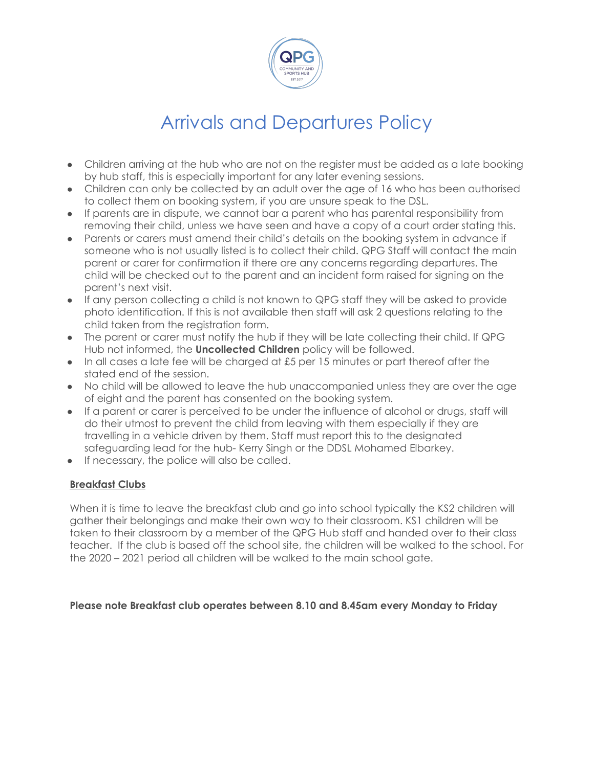

# Arrivals and Departures Policy

- Children arriving at the hub who are not on the register must be added as a late booking by hub staff, this is especially important for any later evening sessions.
- Children can only be collected by an adult over the age of 16 who has been authorised to collect them on booking system, if you are unsure speak to the DSL.
- If parents are in dispute, we cannot bar a parent who has parental responsibility from removing their child, unless we have seen and have a copy of a court order stating this.
- Parents or carers must amend their child's details on the booking system in advance if someone who is not usually listed is to collect their child. QPG Staff will contact the main parent or carer for confirmation if there are any concerns regarding departures. The child will be checked out to the parent and an incident form raised for signing on the parent's next visit.
- If any person collecting a child is not known to QPG staff they will be asked to provide photo identification. If this is not available then staff will ask 2 questions relating to the child taken from the registration form.
- The parent or carer must notify the hub if they will be late collecting their child. If QPG Hub not informed, the **Uncollected Children** policy will be followed.
- In all cases a late fee will be charged at £5 per 15 minutes or part thereof after the stated end of the session.
- No child will be allowed to leave the hub unaccompanied unless they are over the age of eight and the parent has consented on the booking system.
- If a parent or carer is perceived to be under the influence of alcohol or drugs, staff will do their utmost to prevent the child from leaving with them especially if they are travelling in a vehicle driven by them. Staff must report this to the designated safeguarding lead for the hub- Kerry Singh or the DDSL Mohamed Elbarkey.
- If necessary, the police will also be called.

## **Breakfast Clubs**

When it is time to leave the breakfast club and go into school typically the KS2 children will gather their belongings and make their own way to their classroom. KS1 children will be taken to their classroom by a member of the QPG Hub staff and handed over to their class teacher. If the club is based off the school site, the children will be walked to the school. For the 2020 – 2021 period all children will be walked to the main school gate.

### **Please note Breakfast club operates between 8.10 and 8.45am every Monday to Friday**